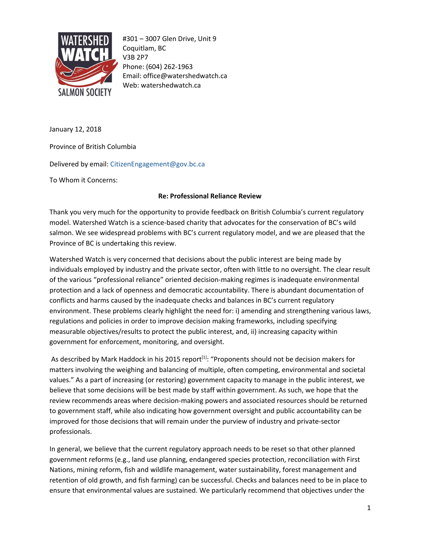

#301 – 3007 Glen Drive, Unit 9 Coquitlam, BC V3B 2P7 Phone: (604) 262-1963 Email: office@watershedwatch.ca Web: watershedwatch.ca

January 12, 2018

Province of British Columbia

Delivered by email: CitizenEngagement@gov.bc.ca

To Whom it Concerns:

## **Re: Professional Reliance Review**

Thank you very much for the opportunity to provide feedback on British Columbia's current regulatory model. Watershed Watch is a science-based charity that advocates for the conservation of BC's wild salmon. We see widespread problems with BC's current regulatory model, and we are pleased that the Province of BC is undertaking this review.

Watershed Watch is very concerned that decisions about the public interest are being made by individuals employed by industry and the private sector, often with little to no oversight. The clear result of the various "professional reliance" oriented decision-making regimes is inadequate environmental protection and a lack of openness and democratic accountability. There is abundant documentation of conflicts and harms caused by the inadequate checks and balances in BC's current regulatory environment. These problems clearly highlight the need for: i) amending and strengthening various laws, regulations and policies in order to improve decision making frameworks, including specifying measurable objectives/results to protect the public interest, and, ii) increasing capacity within government for enforcement, monitoring, and oversight.

As described by Mark Haddock in his 2015 report<sup>[1]</sup>: "Proponents should not be decision makers for matters involving the weighing and balancing of multiple, often competing, environmental and societal values." As a part of increasing (or restoring) government capacity to manage in the public interest, we believe that some decisions will be best made by staff within government. As such, we hope that the review recommends areas where decision-making powers and associated resources should be returned to government staff, while also indicating how government oversight and public accountability can be improved for those decisions that will remain under the purview of industry and private-sector professionals.

In general, we believe that the current regulatory approach needs to be reset so that other planned government reforms (e.g., land use planning, endangered species protection, reconciliation with First Nations, mining reform, fish and wildlife management, water sustainability, forest management and retention of old growth, and fish farming) can be successful. Checks and balances need to be in place to ensure that environmental values are sustained. We particularly recommend that objectives under the